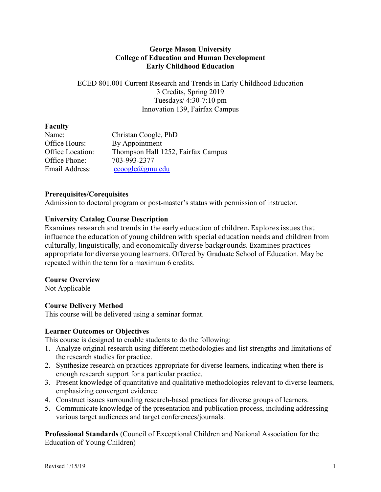## **George Mason University College of Education and Human Development Early Childhood Education**

ECED 801.001 Current Research and Trends in Early Childhood Education 3 Credits, Spring 2019 Tuesdays/ 4:30-7:10 pm Innovation 139, Fairfax Campus

## **Faculty**

| Christan Coogle, PhD               |
|------------------------------------|
| By Appointment                     |
| Thompson Hall 1252, Fairfax Campus |
| 703-993-2377                       |
| $ccogle$ $(a)$ gmu.edu             |
|                                    |

## **Prerequisites/Corequisites**

Admission to doctoral program or post-master's status with permission of instructor.

## **University Catalog Course Description**

Examines research and trends in the early education of children. Explores issues that influence the education of young children with special education needs and children from culturally, linguistically, and economically diverse backgrounds. Examines practices appropriate for diverse young learners. Offered by Graduate School of Education. May be repeated within the term for a maximum 6 credits.

## **Course Overview**

Not Applicable

## **Course Delivery Method**

This course will be delivered using a seminar format.

#### **Learner Outcomes or Objectives**

This course is designed to enable students to do the following:

- 1. Analyze original research using different methodologies and list strengths and limitations of the research studies for practice.
- 2. Synthesize research on practices appropriate for diverse learners, indicating when there is enough research support for a particular practice.
- 3. Present knowledge of quantitative and qualitative methodologies relevant to diverse learners, emphasizing convergent evidence.
- 4. Construct issues surrounding research-based practices for diverse groups of learners.
- 5. Communicate knowledge of the presentation and publication process, including addressing various target audiences and target conferences/journals.

**Professional Standards** (Council of Exceptional Children and National Association for the Education of Young Children)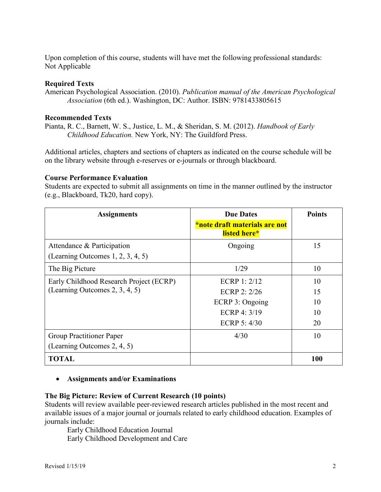Upon completion of this course, students will have met the following professional standards: Not Applicable

#### **Required Texts**

American Psychological Association. (2010). *Publication manual of the American Psychological Association* (6th ed.). Washington, DC: Author. ISBN: 9781433805615

#### **Recommended Texts**

Pianta, R. C., Barnett, W. S., Justice, L. M., & Sheridan, S. M. (2012). *Handbook of Early Childhood Education.* New York, NY: The Guildford Press.

Additional articles, chapters and sections of chapters as indicated on the course schedule will be on the library website through e-reserves or e-journals or through blackboard.

#### **Course Performance Evaluation**

Students are expected to submit all assignments on time in the manner outlined by the instructor (e.g., Blackboard, Tk20, hard copy).

| <b>Assignments</b>                                                 | <b>Due Dates</b><br>*note draft materials are not<br>listed here* | <b>Points</b> |
|--------------------------------------------------------------------|-------------------------------------------------------------------|---------------|
| Attendance & Participation<br>(Learning Outcomes $1, 2, 3, 4, 5$ ) | Ongoing                                                           | 15            |
| The Big Picture                                                    | 1/29                                                              | 10            |
| Early Childhood Research Project (ECRP)                            | ECRP 1: $2/12$                                                    | 10            |
| (Learning Outcomes 2, 3, 4, 5)                                     | ECRP 2: $2/26$                                                    | 15            |
|                                                                    | ECRP 3: Ongoing                                                   | 10            |
|                                                                    | ECRP 4: $3/19$                                                    | 10            |
|                                                                    | ECRP $5:4/30$                                                     | 20            |
| <b>Group Practitioner Paper</b>                                    | 4/30                                                              | 10            |
| (Learning Outcomes 2, 4, 5)                                        |                                                                   |               |
| <b>TOTAL</b>                                                       |                                                                   | 100           |

#### • **Assignments and/or Examinations**

#### **The Big Picture: Review of Current Research (10 points)**

Students will review available peer-reviewed research articles published in the most recent and available issues of a major journal or journals related to early childhood education. Examples of journals include:

Early Childhood Education Journal Early Childhood Development and Care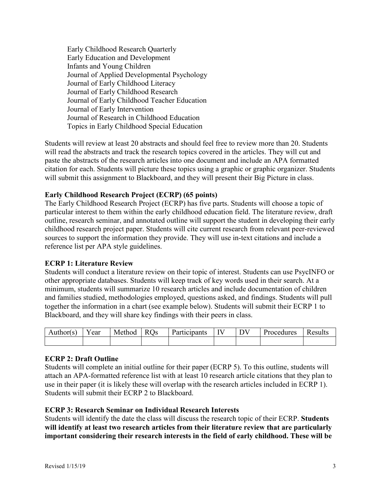Early Childhood Research Quarterly Early Education and Development Infants and Young Children Journal of Applied Developmental Psychology Journal of Early Childhood Literacy Journal of Early Childhood Research Journal of Early Childhood Teacher Education Journal of Early Intervention Journal of Research in Childhood Education Topics in Early Childhood Special Education

Students will review at least 20 abstracts and should feel free to review more than 20. Students will read the abstracts and track the research topics covered in the articles. They will cut and paste the abstracts of the research articles into one document and include an APA formatted citation for each. Students will picture these topics using a graphic or graphic organizer. Students will submit this assignment to Blackboard, and they will present their Big Picture in class.

## **Early Childhood Research Project (ECRP) (65 points)**

The Early Childhood Research Project (ECRP) has five parts. Students will choose a topic of particular interest to them within the early childhood education field. The literature review, draft outline, research seminar, and annotated outline will support the student in developing their early childhood research project paper. Students will cite current research from relevant peer-reviewed sources to support the information they provide. They will use in-text citations and include a reference list per APA style guidelines.

#### **ECRP 1: Literature Review**

Students will conduct a literature review on their topic of interest. Students can use PsycINFO or other appropriate databases. Students will keep track of key words used in their search. At a minimum, students will summarize 10 research articles and include documentation of children and families studied, methodologies employed, questions asked, and findings. Students will pull together the information in a chart (see example below). Students will submit their ECRP 1 to Blackboard, and they will share key findings with their peers in class.

| Author(s) | ear | Method | Us<br>R I | Participants | $-$ | $\mathbf{r}$ | Procedures | Results |
|-----------|-----|--------|-----------|--------------|-----|--------------|------------|---------|
|           |     |        |           |              |     |              |            |         |

#### **ECRP 2: Draft Outline**

Students will complete an initial outline for their paper (ECRP 5). To this outline, students will attach an APA-formatted reference list with at least 10 research article citations that they plan to use in their paper (it is likely these will overlap with the research articles included in ECRP 1). Students will submit their ECRP 2 to Blackboard.

#### **ECRP 3: Research Seminar on Individual Research Interests**

Students will identify the date the class will discuss the research topic of their ECRP. **Students will identify at least two research articles from their literature review that are particularly important considering their research interests in the field of early childhood. These will be**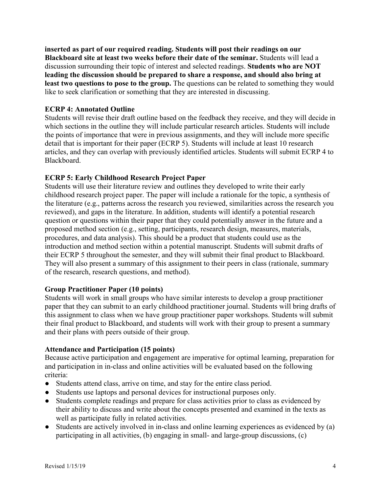**inserted as part of our required reading. Students will post their readings on our Blackboard site at least two weeks before their date of the seminar.** Students will lead a discussion surrounding their topic of interest and selected readings. **Students who are NOT leading the discussion should be prepared to share a response, and should also bring at least two questions to pose to the group.** The questions can be related to something they would like to seek clarification or something that they are interested in discussing.

## **ECRP 4: Annotated Outline**

Students will revise their draft outline based on the feedback they receive, and they will decide in which sections in the outline they will include particular research articles. Students will include the points of importance that were in previous assignments, and they will include more specific detail that is important for their paper (ECRP 5). Students will include at least 10 research articles, and they can overlap with previously identified articles. Students will submit ECRP 4 to Blackboard.

## **ECRP 5: Early Childhood Research Project Paper**

Students will use their literature review and outlines they developed to write their early childhood research project paper. The paper will include a rationale for the topic, a synthesis of the literature (e.g., patterns across the research you reviewed, similarities across the research you reviewed), and gaps in the literature. In addition, students will identify a potential research question or questions within their paper that they could potentially answer in the future and a proposed method section (e.g., setting, participants, research design, measures, materials, procedures, and data analysis). This should be a product that students could use as the introduction and method section within a potential manuscript. Students will submit drafts of their ECRP 5 throughout the semester, and they will submit their final product to Blackboard. They will also present a summary of this assignment to their peers in class (rationale, summary of the research, research questions, and method).

## **Group Practitioner Paper (10 points)**

Students will work in small groups who have similar interests to develop a group practitioner paper that they can submit to an early childhood practitioner journal. Students will bring drafts of this assignment to class when we have group practitioner paper workshops. Students will submit their final product to Blackboard, and students will work with their group to present a summary and their plans with peers outside of their group.

#### **Attendance and Participation (15 points)**

Because active participation and engagement are imperative for optimal learning, preparation for and participation in in-class and online activities will be evaluated based on the following criteria:

- Students attend class, arrive on time, and stay for the entire class period.
- Students use laptops and personal devices for instructional purposes only.
- Students complete readings and prepare for class activities prior to class as evidenced by their ability to discuss and write about the concepts presented and examined in the texts as well as participate fully in related activities.
- Students are actively involved in in-class and online learning experiences as evidenced by (a) participating in all activities, (b) engaging in small- and large-group discussions, (c)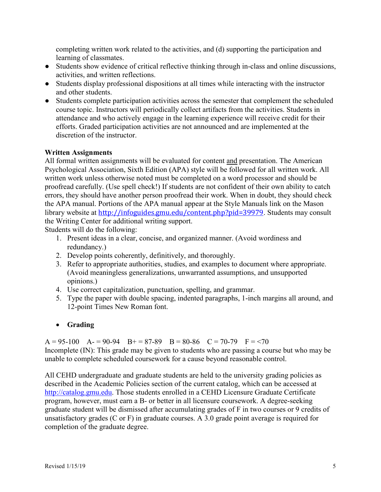completing written work related to the activities, and (d) supporting the participation and learning of classmates.

- Students show evidence of critical reflective thinking through in-class and online discussions, activities, and written reflections.
- Students display professional dispositions at all times while interacting with the instructor and other students.
- Students complete participation activities across the semester that complement the scheduled course topic. Instructors will periodically collect artifacts from the activities. Students in attendance and who actively engage in the learning experience will receive credit for their efforts. Graded participation activities are not announced and are implemented at the discretion of the instructor.

## **Written Assignments**

All formal written assignments will be evaluated for content and presentation. The American Psychological Association, Sixth Edition (APA) style will be followed for all written work. All written work unless otherwise noted must be completed on a word processor and should be proofread carefully. (Use spell check!) If students are not confident of their own ability to catch errors, they should have another person proofread their work. When in doubt, they should check the APA manual. Portions of the APA manual appear at the Style Manuals link on the Mason library website at <http://infoguides.gmu.edu/content.php?pid=39979>. Students may consult the Writing Center for additional writing support.

Students will do the following:

- 1. Present ideas in a clear, concise, and organized manner. (Avoid wordiness and redundancy.)
- 2. Develop points coherently, definitively, and thoroughly.
- 3. Refer to appropriate authorities, studies, and examples to document where appropriate. (Avoid meaningless generalizations, unwarranted assumptions, and unsupported opinions.)
- 4. Use correct capitalization, punctuation, spelling, and grammar.
- 5. Type the paper with double spacing, indented paragraphs, 1-inch margins all around, and 12-point Times New Roman font.
- **Grading**

 $A = 95-100$   $A = 90-94$   $B = 87-89$   $B = 80-86$   $C = 70-79$   $F = 70$ Incomplete (IN): This grade may be given to students who are passing a course but who may be unable to complete scheduled coursework for a cause beyond reasonable control.

All CEHD undergraduate and graduate students are held to the university grading policies as described in the Academic Policies section of the current catalog, which can be accessed at [http://catalog.gmu.edu.](http://catalog.gmu.edu/) Those students enrolled in a CEHD Licensure Graduate Certificate program, however, must earn a B- or better in all licensure coursework. A degree-seeking graduate student will be dismissed after accumulating grades of F in two courses or 9 credits of unsatisfactory grades (C or F) in graduate courses. A 3.0 grade point average is required for completion of the graduate degree.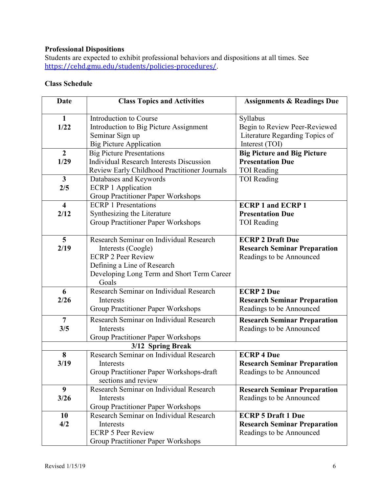## **Professional Dispositions**

Students are expected to exhibit professional behaviors and dispositions at all times. See <https://cehd.gmu.edu/students/policies-procedures/>.

# **Class Schedule**

| Date                            | <b>Class Topics and Activities</b>                                                                                                                                               | <b>Assignments &amp; Readings Due</b>                                                         |
|---------------------------------|----------------------------------------------------------------------------------------------------------------------------------------------------------------------------------|-----------------------------------------------------------------------------------------------|
| $\mathbf{1}$<br>1/22            | Introduction to Course<br>Introduction to Big Picture Assignment<br>Seminar Sign up<br><b>Big Picture Application</b>                                                            | Syllabus<br>Begin to Review Peer-Reviewed<br>Literature Regarding Topics of<br>Interest (TOI) |
| $\overline{2}$                  | <b>Big Picture Presentations</b>                                                                                                                                                 | <b>Big Picture and Big Picture</b>                                                            |
| 1/29                            | <b>Individual Research Interests Discussion</b><br>Review Early Childhood Practitioner Journals                                                                                  | <b>Presentation Due</b><br><b>TOI Reading</b>                                                 |
| $\mathbf{3}$<br>2/5             | Databases and Keywords<br><b>ECRP 1 Application</b><br>Group Practitioner Paper Workshops                                                                                        | <b>TOI</b> Reading                                                                            |
| $\overline{\mathbf{4}}$<br>2/12 | <b>ECRP 1 Presentations</b><br>Synthesizing the Literature<br>Group Practitioner Paper Workshops                                                                                 | <b>ECRP 1 and ECRP 1</b><br><b>Presentation Due</b><br><b>TOI</b> Reading                     |
| 5<br>2/19                       | Research Seminar on Individual Research<br>Interests (Coogle)<br><b>ECRP 2 Peer Review</b><br>Defining a Line of Research<br>Developing Long Term and Short Term Career<br>Goals | <b>ECRP 2 Draft Due</b><br><b>Research Seminar Preparation</b><br>Readings to be Announced    |
| 6<br>2/26                       | Research Seminar on Individual Research<br>Interests<br><b>Group Practitioner Paper Workshops</b>                                                                                | <b>ECRP 2 Due</b><br><b>Research Seminar Preparation</b><br>Readings to be Announced          |
| $\overline{7}$<br>3/5           | Research Seminar on Individual Research<br>Interests<br><b>Group Practitioner Paper Workshops</b>                                                                                | <b>Research Seminar Preparation</b><br>Readings to be Announced                               |
|                                 | 3/12 Spring Break                                                                                                                                                                |                                                                                               |
| 8<br>3/19                       | Research Seminar on Individual Research<br>Interests<br>Group Practitioner Paper Workshops-draft<br>sections and review                                                          | <b>ECRP 4 Due</b><br><b>Research Seminar Preparation</b><br>Readings to be Announced          |
| 9<br>3/26                       | Research Seminar on Individual Research<br>Interests<br>Group Practitioner Paper Workshops                                                                                       | <b>Research Seminar Preparation</b><br>Readings to be Announced                               |
| 10<br>4/2                       | Research Seminar on Individual Research<br>Interests<br><b>ECRP 5 Peer Review</b><br>Group Practitioner Paper Workshops                                                          | <b>ECRP 5 Draft 1 Due</b><br><b>Research Seminar Preparation</b><br>Readings to be Announced  |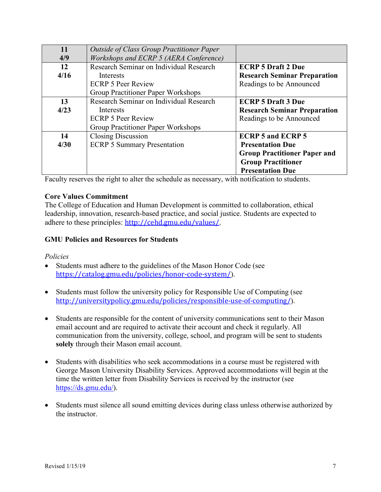| 11   | <b>Outside of Class Group Practitioner Paper</b> |                                     |
|------|--------------------------------------------------|-------------------------------------|
| 4/9  | Workshops and ECRP 5 (AERA Conference)           |                                     |
| 12   | Research Seminar on Individual Research          | <b>ECRP 5 Draft 2 Due</b>           |
| 4/16 | Interests                                        | <b>Research Seminar Preparation</b> |
|      | <b>ECRP 5 Peer Review</b>                        | Readings to be Announced            |
|      | Group Practitioner Paper Workshops               |                                     |
| 13   | Research Seminar on Individual Research          | <b>ECRP 5 Draft 3 Due</b>           |
| 4/23 | <b>Interests</b>                                 | <b>Research Seminar Preparation</b> |
|      | <b>ECRP 5 Peer Review</b>                        | Readings to be Announced            |
|      | Group Practitioner Paper Workshops               |                                     |
| 14   | Closing Discussion                               | <b>ECRP 5 and ECRP 5</b>            |
| 4/30 | <b>ECRP 5 Summary Presentation</b>               | <b>Presentation Due</b>             |
|      |                                                  | <b>Group Practitioner Paper and</b> |
|      |                                                  | <b>Group Practitioner</b>           |
|      |                                                  | <b>Presentation Due</b>             |

Faculty reserves the right to alter the schedule as necessary, with notification to students.

## **Core Values Commitment**

The College of Education and Human Development is committed to collaboration, ethical leadership, innovation, research-based practice, and social justice. Students are expected to adhere to these principles: <http://cehd.gmu.edu/values/>.

## **GMU Policies and Resources for Students**

#### *Policies*

- Students must adhere to the guidelines of the Mason Honor Code (see <https://catalog.gmu.edu/policies/honor-code-system/>).
- Students must follow the university policy for Responsible Use of Computing (see <http://universitypolicy.gmu.edu/policies/responsible-use-of-computing/>).
- Students are responsible for the content of university communications sent to their Mason email account and are required to activate their account and check it regularly. All communication from the university, college, school, and program will be sent to students **solely** through their Mason email account.
- Students with disabilities who seek accommodations in a course must be registered with George Mason University Disability Services. Approved accommodations will begin at the time the written letter from Disability Services is received by the instructor (see [https://ds.gmu.edu/\)](https://ds.gmu.edu/).
- Students must silence all sound emitting devices during class unless otherwise authorized by the instructor.